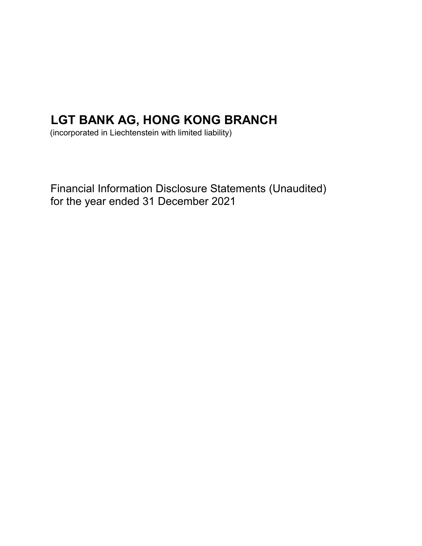# LGT BANK AG, HONG KONG BRANCH

(incorporated in Liechtenstein with limited liability)

Financial Information Disclosure Statements (Unaudited) for the year ended 31 December 2021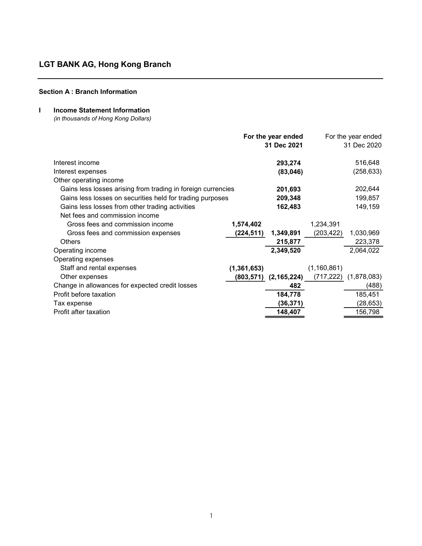## Section A : Branch Information

## I Income Statement Information

(in thousands of Hong Kong Dollars)

|                                                              |               | For the year ended |               | For the year ended |
|--------------------------------------------------------------|---------------|--------------------|---------------|--------------------|
|                                                              |               | 31 Dec 2021        |               | 31 Dec 2020        |
| Interest income                                              |               | 293,274            |               | 516,648            |
| Interest expenses                                            |               | (83,046)           |               | (258, 633)         |
| Other operating income                                       |               |                    |               |                    |
| Gains less losses arising from trading in foreign currencies |               | 201,693            |               | 202,644            |
| Gains less losses on securities held for trading purposes    |               | 209,348            |               | 199,857            |
| Gains less losses from other trading activities              |               | 162,483            |               | 149,159            |
| Net fees and commission income                               |               |                    |               |                    |
| Gross fees and commission income                             | 1,574,402     |                    | 1,234,391     |                    |
| Gross fees and commission expenses                           | (224,511)     | 1,349,891          | (203,422)     | 1,030,969          |
| <b>Others</b>                                                |               | 215,877            |               | 223,378            |
| Operating income                                             |               | 2,349,520          |               | 2,064,022          |
| Operating expenses                                           |               |                    |               |                    |
| Staff and rental expenses                                    | (1, 361, 653) |                    | (1, 160, 861) |                    |
| Other expenses                                               | (803,571)     | (2, 165, 224)      | (717, 222)    | (1,878,083)        |
| Change in allowances for expected credit losses              |               | 482                |               | (488)              |
| Profit before taxation                                       |               | 184,778            |               | 185,451            |
| Tax expense                                                  |               | (36, 371)          |               | (28, 653)          |
| Profit after taxation                                        |               | 148,407            |               | 156,798            |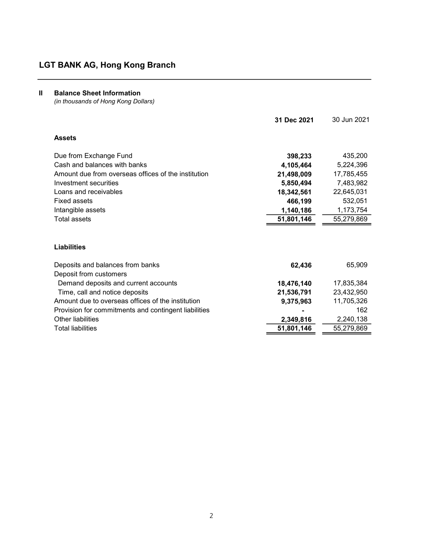## II Balance Sheet Information

(in thousands of Hong Kong Dollars)

|                                                            | 31 Dec 2021 | 30 Jun 2021 |
|------------------------------------------------------------|-------------|-------------|
| <b>Assets</b>                                              |             |             |
| Due from Exchange Fund                                     | 398,233     | 435,200     |
| Cash and balances with banks                               | 4,105,464   | 5,224,396   |
| Amount due from overseas offices of the institution        | 21,498,009  | 17,785,455  |
| Investment securities                                      | 5,850,494   | 7,483,982   |
| Loans and receivables                                      | 18,342,561  | 22,645,031  |
| <b>Fixed assets</b>                                        | 466,199     | 532,051     |
| Intangible assets                                          | 1,140,186   | 1,173,754   |
| Total assets                                               | 51,801,146  | 55,279,869  |
| <b>Liabilities</b>                                         |             |             |
| Deposits and balances from banks<br>Deposit from customers | 62,436      | 65,909      |
| Demand deposits and current accounts                       | 18,476,140  | 17,835,384  |
| Time, call and notice deposits                             | 21,536,791  | 23,432,950  |
| Amount due to overseas offices of the institution          | 9,375,963   | 11,705,326  |
| Provision for commitments and contingent liabilities       |             | 162         |
| Other liabilities                                          | 2,349,816   | 2,240,138   |
| <b>Total liabilities</b>                                   | 51,801,146  | 55,279,869  |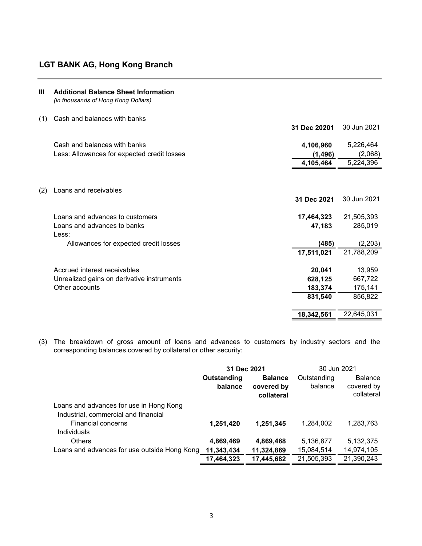| Ш   | <b>Additional Balance Sheet Information</b><br>(in thousands of Hong Kong Dollars) |              |             |
|-----|------------------------------------------------------------------------------------|--------------|-------------|
| (1) | Cash and balances with banks                                                       | 31 Dec 20201 | 30 Jun 2021 |
|     |                                                                                    |              |             |
|     | Cash and balances with banks                                                       | 4,106,960    | 5,226,464   |
|     | Less: Allowances for expected credit losses                                        | (1, 496)     | (2,068)     |
|     |                                                                                    | 4,105,464    | 5,224,396   |
| (2) | Loans and receivables                                                              |              |             |
|     |                                                                                    | 31 Dec 2021  | 30 Jun 2021 |
|     | Loans and advances to customers                                                    | 17,464,323   | 21,505,393  |
|     | Loans and advances to banks<br>Less:                                               | 47,183       | 285,019     |
|     | Allowances for expected credit losses                                              | (485)        | (2, 203)    |
|     |                                                                                    | 17,511,021   | 21,788,209  |
|     | Accrued interest receivables                                                       | 20,041       | 13,959      |
|     | Unrealized gains on derivative instruments                                         | 628,125      | 667,722     |
|     | Other accounts                                                                     | 183,374      | 175,141     |
|     |                                                                                    | 831,540      | 856,822     |
|     |                                                                                    | 18,342,561   | 22,645,031  |

(3) The breakdown of gross amount of loans and advances to customers by industry sectors and the corresponding balances covered by collateral or other security:

|                                                                                 | 31 Dec 2021            |                                            | 30 Jun 2021            |                                            |
|---------------------------------------------------------------------------------|------------------------|--------------------------------------------|------------------------|--------------------------------------------|
|                                                                                 | Outstanding<br>balance | <b>Balance</b><br>covered by<br>collateral | Outstanding<br>balance | <b>Balance</b><br>covered by<br>collateral |
| Loans and advances for use in Hong Kong<br>Industrial, commercial and financial |                        |                                            |                        |                                            |
| <b>Financial concerns</b><br>Individuals                                        | 1,251,420              | 1,251,345                                  | 1,284,002              | 1,283,763                                  |
| <b>Others</b>                                                                   | 4,869,469              | 4,869,468                                  | 5,136,877              | 5,132,375                                  |
| Loans and advances for use outside Hong Kong                                    | 11,343,434             | 11,324,869                                 | 15,084,514             | 14,974,105                                 |
|                                                                                 | 17,464,323             | 17,445,682                                 | 21,505,393             | 21,390,243                                 |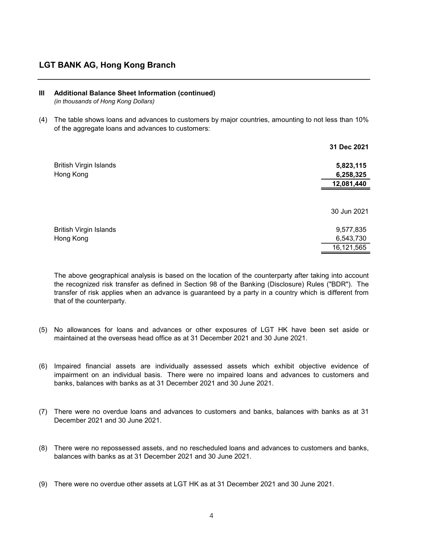### III Additional Balance Sheet Information (continued)

(in thousands of Hong Kong Dollars)

(4) The table shows loans and advances to customers by major countries, amounting to not less than 10% of the aggregate loans and advances to customers:

|                                            | 31 Dec 2021            |
|--------------------------------------------|------------------------|
| <b>British Virgin Islands</b>              | 5,823,115              |
| Hong Kong                                  | 6,258,325              |
|                                            | 12,081,440             |
|                                            | 30 Jun 2021            |
| <b>British Virgin Islands</b><br>Hong Kong | 9,577,835<br>6,543,730 |
|                                            | 16,121,565             |

The above geographical analysis is based on the location of the counterparty after taking into account the recognized risk transfer as defined in Section 98 of the Banking (Disclosure) Rules ("BDR"). The transfer of risk applies when an advance is guaranteed by a party in a country which is different from that of the counterparty.

- (5) No allowances for loans and advances or other exposures of LGT HK have been set aside or maintained at the overseas head office as at 31 December 2021 and 30 June 2021.
- (6) Impaired financial assets are individually assessed assets which exhibit objective evidence of impairment on an individual basis. There were no impaired loans and advances to customers and banks, balances with banks as at 31 December 2021 and 30 June 2021.
- (7) There were no overdue loans and advances to customers and banks, balances with banks as at 31 December 2021 and 30 June 2021.
- (8) There were no repossessed assets, and no rescheduled loans and advances to customers and banks, balances with banks as at 31 December 2021 and 30 June 2021.
- (9) There were no overdue other assets at LGT HK as at 31 December 2021 and 30 June 2021.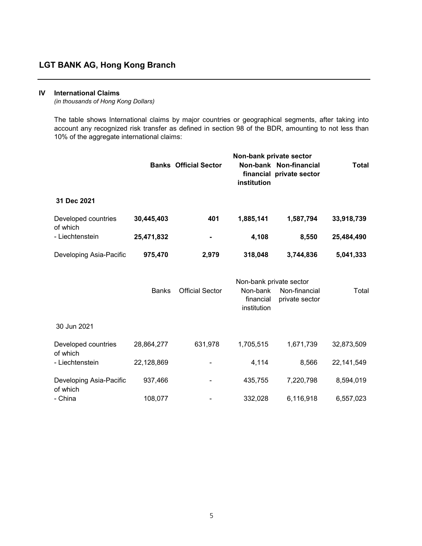### IV International Claims

(in thousands of Hong Kong Dollars)

The table shows International claims by major countries or geographical segments, after taking into account any recognized risk transfer as defined in section 98 of the BDR, amounting to not less than 10% of the aggregate international claims:

|                                     |              | <b>Banks Official Sector</b> | Non-bank private sector<br>institution                          | Non-bank Non-financial<br>financial private sector | <b>Total</b> |
|-------------------------------------|--------------|------------------------------|-----------------------------------------------------------------|----------------------------------------------------|--------------|
| 31 Dec 2021                         |              |                              |                                                                 |                                                    |              |
| Developed countries                 | 30,445,403   | 401                          | 1,885,141                                                       | 1,587,794                                          | 33,918,739   |
| of which<br>- Liechtenstein         | 25,471,832   |                              | 4,108                                                           | 8,550                                              | 25,484,490   |
| Developing Asia-Pacific             | 975,470      | 2,979                        | 318,048                                                         | 3,744,836                                          | 5,041,333    |
|                                     | <b>Banks</b> | <b>Official Sector</b>       | Non-bank private sector<br>Non-bank<br>financial<br>institution | Non-financial<br>private sector                    | Total        |
| 30 Jun 2021                         |              |                              |                                                                 |                                                    |              |
| Developed countries<br>of which     | 28,864,277   | 631,978                      | 1,705,515                                                       | 1,671,739                                          | 32,873,509   |
| - Liechtenstein                     | 22,128,869   |                              | 4,114                                                           | 8,566                                              | 22, 141, 549 |
| Developing Asia-Pacific<br>of which | 937,466      |                              | 435,755                                                         | 7,220,798                                          | 8,594,019    |
| - China                             | 108,077      |                              | 332,028                                                         | 6,116,918                                          | 6,557,023    |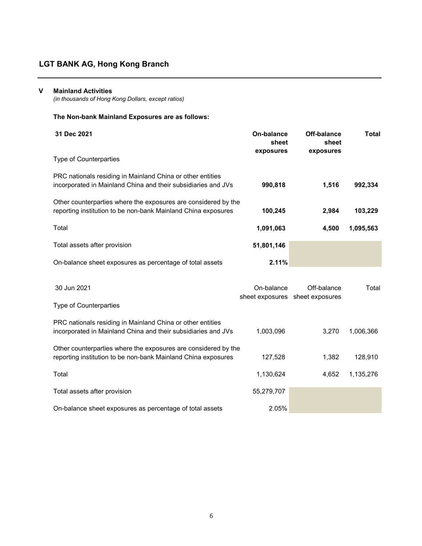#### V Mainland Activities

(in thousands of Hong Kong Dollars, except ratios)

## The Non-bank Mainland Exposures are as follows:

| 31 Dec 2021<br><b>Type of Counterparties</b>                                                                                    | On-balance<br>sheet<br>exposures | Off-balance<br>sheet<br>exposures | Total     |
|---------------------------------------------------------------------------------------------------------------------------------|----------------------------------|-----------------------------------|-----------|
| PRC nationals residing in Mainland China or other entities<br>incorporated in Mainland China and their subsidiaries and JVs     | 990,818                          | 1.516                             | 992,334   |
| Other counterparties where the exposures are considered by the<br>reporting institution to be non-bank Mainland China exposures | 100,245                          | 2.984                             | 103,229   |
| Total                                                                                                                           | 1,091,063                        | 4,500                             | 1,095,563 |
| Total assets after provision                                                                                                    | 51,801,146                       |                                   |           |
| On-balance sheet exposures as percentage of total assets                                                                        | 2.11%                            |                                   |           |

| 30 Jun 2021                                                                                                                     | On-balance | Off-balance<br>sheet exposures sheet exposures | Total     |
|---------------------------------------------------------------------------------------------------------------------------------|------------|------------------------------------------------|-----------|
| <b>Type of Counterparties</b>                                                                                                   |            |                                                |           |
| PRC nationals residing in Mainland China or other entities<br>incorporated in Mainland China and their subsidiaries and JVs     | 1.003.096  | 3.270                                          | 1.006.366 |
| Other counterparties where the exposures are considered by the<br>reporting institution to be non-bank Mainland China exposures | 127.528    | 1.382                                          | 128.910   |
| Total                                                                                                                           | 1,130,624  | 4.652                                          | 1,135,276 |
| Total assets after provision                                                                                                    | 55,279,707 |                                                |           |
| On-balance sheet exposures as percentage of total assets                                                                        | 2.05%      |                                                |           |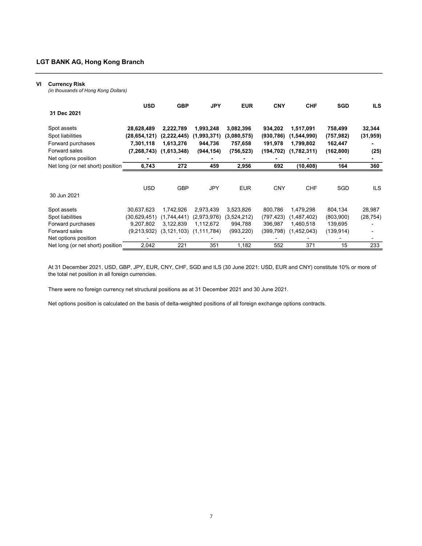#### VI Currency Risk

(in thousands of Hong Kong Dollars)

|                                  | <b>USD</b>    | <b>GBP</b>    | <b>JPY</b>    | <b>EUR</b>  | <b>CNY</b> | <b>CHF</b>  | <b>SGD</b> | <b>ILS</b> |
|----------------------------------|---------------|---------------|---------------|-------------|------------|-------------|------------|------------|
| 31 Dec 2021                      |               |               |               |             |            |             |            |            |
| Spot assets                      | 28,628,489    | 2,222,789     | 1,993,248     | 3,082,396   | 934,202    | 1,517,091   | 758,499    | 32,344     |
| Spot liabilities                 | (28,654,121)  | (2,222,445)   | (1,993,371)   | (3,080,575) | (930, 786) | (1,544,990) | (757, 982) | (31, 959)  |
| Forward purchases                | 7,301,118     | 1,613,276     | 944,736       | 757,658     | 191,978    | 1,799,802   | 162,447    |            |
| Forward sales                    | (7, 268, 743) | (1,613,348)   | (944, 154)    | (756, 523)  | (194,702)  | (1,782,311) | (162, 800) | (25)       |
| Net options position             |               |               |               |             |            |             |            | ۰          |
| Net long (or net short) position | 6,743         | 272           | 459           | 2,956       | 692        | (10, 408)   | 164        | 360        |
|                                  |               |               |               |             |            |             |            |            |
|                                  | <b>USD</b>    | <b>GBP</b>    | <b>JPY</b>    | <b>EUR</b>  | <b>CNY</b> | <b>CHF</b>  | SGD        | ILS.       |
| 30 Jun 2021                      |               |               |               |             |            |             |            |            |
| Spot assets                      | 30,637,623    | 1,742,926     | 2.973.439     | 3,523,826   | 800,786    | 1,479,298   | 804,134    | 28,987     |
| Spot liabilities                 | (30,629,451)  | (1,744,441)   | (2,973,976)   | (3,524,212) | (797,423)  | (1,487,402) | (803,900)  | (28, 754)  |
| Forward purchases                | 9,207,802     | 3,122,839     | 1,112,672     | 994,788     | 396,987    | 1,460,518   | 139,695    |            |
| Forward sales                    | (9,213,932)   | (3, 121, 103) | (1, 111, 784) | (993,220)   | (399,798)  | (1,452,043) | (139, 914) |            |
| Net options position             |               |               |               |             |            |             |            |            |
| Net long (or net short) position | 2,042         | 221           | 351           | 1,182       | 552        | 371         | 15         | 233        |

At 31 December 2021, USD, GBP, JPY, EUR, CNY, CHF, SGD and ILS (30 June 2021: USD, EUR and CNY) constitute 10% or more of the total net position in all foreign currencies.

There were no foreign currency net structural positions as at 31 December 2021 and 30 June 2021.

Net options position is calculated on the basis of delta-weighted positions of all foreign exchange options contracts.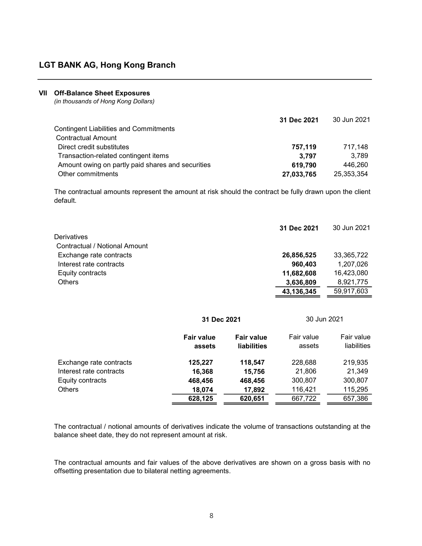#### VII Off-Balance Sheet Exposures

(in thousands of Hong Kong Dollars)

|                                                   | 31 Dec 2021 | 30 Jun 2021 |
|---------------------------------------------------|-------------|-------------|
| <b>Contingent Liabilities and Commitments</b>     |             |             |
| <b>Contractual Amount</b>                         |             |             |
| Direct credit substitutes                         | 757,119     | 717.148     |
| Transaction-related contingent items              | 3.797       | 3.789       |
| Amount owing on partly paid shares and securities | 619.790     | 446.260     |
| Other commitments                                 | 27,033,765  | 25,353,354  |

The contractual amounts represent the amount at risk should the contract be fully drawn upon the client default.

|                               | 31 Dec 2021 | 30 Jun 2021 |
|-------------------------------|-------------|-------------|
| Derivatives                   |             |             |
| Contractual / Notional Amount |             |             |
| Exchange rate contracts       | 26,856,525  | 33,365,722  |
| Interest rate contracts       | 960,403     | 1,207,026   |
| Equity contracts              | 11,682,608  | 16,423,080  |
| <b>Others</b>                 | 3,636,809   | 8,921,775   |
|                               | 43,136,345  | 59.917.603  |
|                               |             |             |

|                         |                             | 31 Dec 2021                             |                      | 30 Jun 2021               |
|-------------------------|-----------------------------|-----------------------------------------|----------------------|---------------------------|
|                         | <b>Fair value</b><br>assets | <b>Fair value</b><br><b>liabilities</b> | Fair value<br>assets | Fair value<br>liabilities |
| Exchange rate contracts | 125,227                     | 118,547                                 | 228,688              | 219,935                   |
| Interest rate contracts | 16,368                      | 15,756                                  | 21,806               | 21,349                    |
| Equity contracts        | 468,456                     | 468,456                                 | 300,807              | 300,807                   |
| <b>Others</b>           | 18,074                      | 17,892                                  | 116,421              | 115,295                   |
|                         | 628,125                     | 620,651                                 | 667,722              | 657,386                   |

The contractual / notional amounts of derivatives indicate the volume of transactions outstanding at the balance sheet date, they do not represent amount at risk.

The contractual amounts and fair values of the above derivatives are shown on a gross basis with no offsetting presentation due to bilateral netting agreements.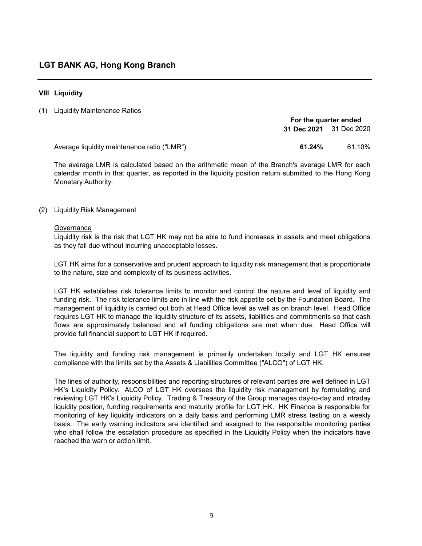### VIII Liquidity

#### (1) Liquidity Maintenance Ratios

|                                             | For the quarter ended   |        |  |
|---------------------------------------------|-------------------------|--------|--|
|                                             | 31 Dec 2021 31 Dec 2020 |        |  |
|                                             |                         |        |  |
| Average liquidity maintenance ratio ("LMR") | 61.24%                  | 61.10% |  |

The average LMR is calculated based on the arithmetic mean of the Branch's average LMR for each calendar month in that quarter, as reported in the liquidity position return submitted to the Hong Kong Monetary Authority.

(2) Liquidity Risk Management

### Governance

Liquidity risk is the risk that LGT HK may not be able to fund increases in assets and meet obligations as they fall due without incurring unacceptable losses.

LGT HK aims for a conservative and prudent approach to liquidity risk management that is proportionate to the nature, size and complexity of its business activities.

LGT HK establishes risk tolerance limits to monitor and control the nature and level of liquidity and funding risk. The risk tolerance limits are in line with the risk appetite set by the Foundation Board. The management of liquidity is carried out both at Head Office level as well as on branch level. Head Office requires LGT HK to manage the liquidity structure of its assets, liabilities and commitments so that cash flows are approximately balanced and all funding obligations are met when due. Head Office will provide full financial support to LGT HK if required.

The liquidity and funding risk management is primarily undertaken locally and LGT HK ensures compliance with the limits set by the Assets & Liabilities Committee ("ALCO") of LGT HK.

The lines of authority, responsibilities and reporting structures of relevant parties are well defined in LGT HK's Liquidity Policy. ALCO of LGT HK oversees the liquidity risk management by formulating and reviewing LGT HK's Liquidity Policy. Trading & Treasury of the Group manages day-to-day and intraday liquidity position, funding requirements and maturity profile for LGT HK. HK Finance is responsible for monitoring of key liquidity indicators on a daily basis and performing LMR stress testing on a weekly basis. The early warning indicators are identified and assigned to the responsible monitoring parties who shall follow the escalation procedure as specified in the Liquidity Policy when the indicators have reached the warn or action limit.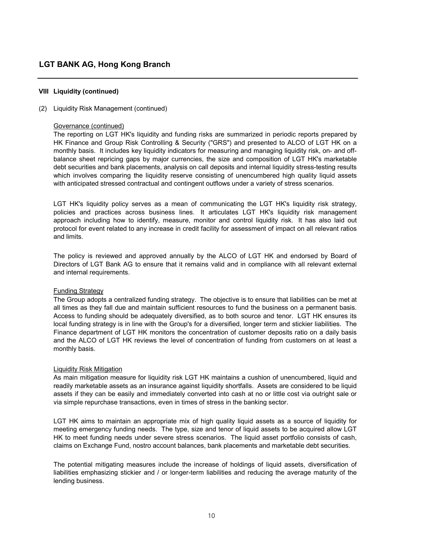#### (2) Liquidity Risk Management (continued)

#### Governance (continued)

The reporting on LGT HK's liquidity and funding risks are summarized in periodic reports prepared by HK Finance and Group Risk Controlling & Security ("GRS") and presented to ALCO of LGT HK on a monthly basis. It includes key liquidity indicators for measuring and managing liquidity risk, on- and offbalance sheet repricing gaps by major currencies, the size and composition of LGT HK's marketable debt securities and bank placements, analysis on call deposits and internal liquidity stress-testing results which involves comparing the liquidity reserve consisting of unencumbered high quality liquid assets with anticipated stressed contractual and contingent outflows under a variety of stress scenarios.

LGT HK's liquidity policy serves as a mean of communicating the LGT HK's liquidity risk strategy, policies and practices across business lines. It articulates LGT HK's liquidity risk management approach including how to identify, measure, monitor and control liquidity risk. It has also laid out protocol for event related to any increase in credit facility for assessment of impact on all relevant ratios and limits.

The policy is reviewed and approved annually by the ALCO of LGT HK and endorsed by Board of Directors of LGT Bank AG to ensure that it remains valid and in compliance with all relevant external and internal requirements.

#### Funding Strategy

The Group adopts a centralized funding strategy. The objective is to ensure that liabilities can be met at all times as they fall due and maintain sufficient resources to fund the business on a permanent basis. Access to funding should be adequately diversified, as to both source and tenor. LGT HK ensures its local funding strategy is in line with the Group's for a diversified, longer term and stickier liabilities. The Finance department of LGT HK monitors the concentration of customer deposits ratio on a daily basis and the ALCO of LGT HK reviews the level of concentration of funding from customers on at least a monthly basis.

#### Liquidity Risk Mitigation

As main mitigation measure for liquidity risk LGT HK maintains a cushion of unencumbered, liquid and readily marketable assets as an insurance against liquidity shortfalls. Assets are considered to be liquid assets if they can be easily and immediately converted into cash at no or little cost via outright sale or via simple repurchase transactions, even in times of stress in the banking sector.

LGT HK aims to maintain an appropriate mix of high quality liquid assets as a source of liquidity for meeting emergency funding needs. The type, size and tenor of liquid assets to be acquired allow LGT HK to meet funding needs under severe stress scenarios. The liquid asset portfolio consists of cash, claims on Exchange Fund, nostro account balances, bank placements and marketable debt securities.

The potential mitigating measures include the increase of holdings of liquid assets, diversification of liabilities emphasizing stickier and / or longer-term liabilities and reducing the average maturity of the lending business.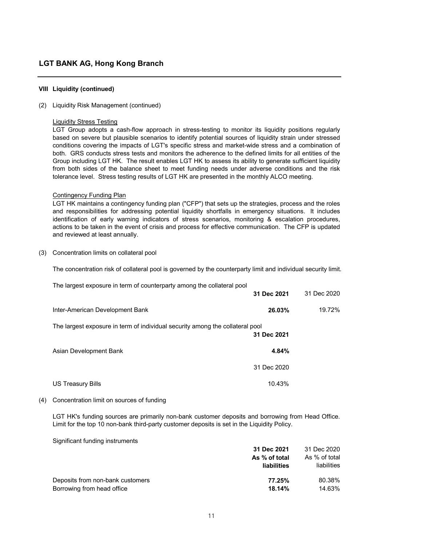#### (2) Liquidity Risk Management (continued)

#### Liquidity Stress Testing

LGT Group adopts a cash-flow approach in stress-testing to monitor its liquidity positions regularly based on severe but plausible scenarios to identify potential sources of liquidity strain under stressed conditions covering the impacts of LGT's specific stress and market-wide stress and a combination of both. GRS conducts stress tests and monitors the adherence to the defined limits for all entities of the Group including LGT HK. The result enables LGT HK to assess its ability to generate sufficient liquidity from both sides of the balance sheet to meet funding needs under adverse conditions and the risk tolerance level. Stress testing results of LGT HK are presented in the monthly ALCO meeting.

#### Contingency Funding Plan

LGT HK maintains a contingency funding plan ("CFP") that sets up the strategies, process and the roles and responsibilities for addressing potential liquidity shortfalls in emergency situations. It includes identification of early warning indicators of stress scenarios, monitoring & escalation procedures, actions to be taken in the event of crisis and process for effective communication. The CFP is updated and reviewed at least annually.

(3) Concentration limits on collateral pool

The concentration risk of collateral pool is governed by the counterparty limit and individual security limit.

| The largest exposure in term of counterparty among the collateral pool        | 31 Dec 2021 | 31 Dec 2020 |
|-------------------------------------------------------------------------------|-------------|-------------|
| Inter-American Development Bank                                               | 26.03%      | 19.72%      |
| The largest exposure in term of individual security among the collateral pool | 31 Dec 2021 |             |
| Asian Development Bank                                                        | 4.84%       |             |
|                                                                               | 31 Dec 2020 |             |
| US Treasury Bills                                                             | 10.43%      |             |

#### (4) Concentration limit on sources of funding

LGT HK's funding sources are primarily non-bank customer deposits and borrowing from Head Office. Limit for the top 10 non-bank third-party customer deposits is set in the Liquidity Policy.

Significant funding instruments

|                                  | 31 Dec 2021   | 31 Dec 2020        |
|----------------------------------|---------------|--------------------|
|                                  | As % of total | As % of total      |
|                                  | liabilities   | <b>liabilities</b> |
| Deposits from non-bank customers | 77.25%        | 80.38%             |
| Borrowing from head office       | 18.14%        | 14.63%             |
|                                  |               |                    |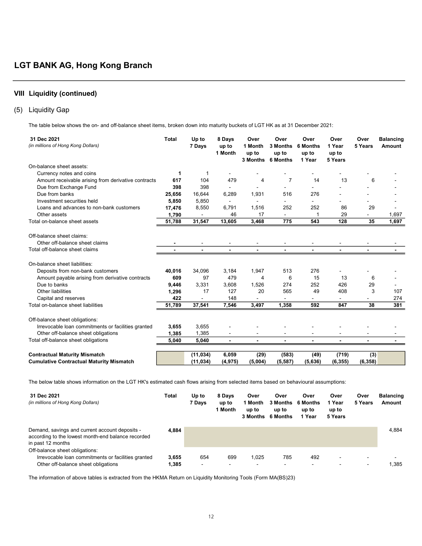### (5) Liquidity Gap

The table below shows the on- and off-balance sheet items, broken down into maturity buckets of LGT HK as at 31 December 2021:

| 31 Dec 2021<br>(in millions of Hong Kong Dollars)   | <b>Total</b> | Up to<br>7 Days | 8 Days<br>up to<br>1 Month | Over<br>1 Month<br>up to | Over<br>3 Months<br>up to<br>3 Months 6 Months | Over<br>6 Months<br>up to<br>1 Year | Over<br>1 Year<br>up to<br>5 Years | Over<br>5 Years | <b>Balancing</b><br>Amount |
|-----------------------------------------------------|--------------|-----------------|----------------------------|--------------------------|------------------------------------------------|-------------------------------------|------------------------------------|-----------------|----------------------------|
| On-balance sheet assets:                            |              |                 |                            |                          |                                                |                                     |                                    |                 |                            |
| Currency notes and coins                            | 1            | -1              |                            |                          |                                                |                                     |                                    |                 |                            |
| Amount receivable arising from derivative contracts | 617          | 104             | 479                        | 4                        | 7                                              | 14                                  | 13                                 | 6               |                            |
| Due from Exchange Fund                              | 398          | 398             |                            |                          |                                                |                                     |                                    |                 |                            |
| Due from banks                                      | 25,656       | 16,644          | 6,289                      | 1,931                    | 516                                            | 276                                 |                                    |                 |                            |
| Investment securities held                          | 5,850        | 5,850           |                            |                          |                                                |                                     |                                    |                 |                            |
| Loans and advances to non-bank customers            | 17,476       | 8,550           | 6,791                      | 1,516                    | 252                                            | 252                                 | 86                                 | 29              |                            |
| Other assets                                        | 1,790        | $\blacksquare$  | 46                         | 17                       | $\blacksquare$                                 |                                     | 29                                 | $\blacksquare$  | 1,697                      |
| Total on-balance sheet assets                       | 51,788       | 31,547          | 13,605                     | 3,468                    | 775                                            | 543                                 | 128                                | 35              | 1,697                      |
| Off-balance sheet claims:                           |              |                 |                            |                          |                                                |                                     |                                    |                 |                            |
| Other off-balance sheet claims                      |              |                 |                            |                          |                                                |                                     |                                    |                 |                            |
| Total off-balance sheet claims                      |              | $\blacksquare$  | $\blacksquare$             | $\blacksquare$           | $\blacksquare$                                 | $\blacksquare$                      |                                    | $\blacksquare$  |                            |
| On-balance sheet liabilities:                       |              |                 |                            |                          |                                                |                                     |                                    |                 |                            |
| Deposits from non-bank customers                    | 40,016       | 34,096          | 3,184                      | 1,947                    | 513                                            | 276                                 |                                    |                 |                            |
| Amount payable arising from derivative contracts    | 609          | 97              | 479                        | 4                        | 6                                              | 15                                  | 13                                 | 6               |                            |
| Due to banks                                        | 9,446        | 3,331           | 3,608                      | 1,526                    | 274                                            | 252                                 | 426                                | 29              |                            |
| Other liabilities                                   | 1,296        | 17              | 127                        | 20                       | 565                                            | 49                                  | 408                                | 3               | 107                        |
| Capital and reserves                                | 422          |                 | 148                        |                          |                                                |                                     |                                    |                 | 274                        |
| Total on-balance sheet liabilities                  | 51,789       | 37,541          | 7,546                      | 3,497                    | 1,358                                          | 592                                 | 847                                | 38              | 381                        |
| Off-balance sheet obligations:                      |              |                 |                            |                          |                                                |                                     |                                    |                 |                            |
| Irrevocable loan commitments or facilities granted  | 3,655        | 3,655           |                            |                          |                                                |                                     |                                    |                 |                            |
| Other off-balance sheet obligations                 | 1,385        | 1,385           |                            |                          |                                                |                                     |                                    |                 |                            |
| Total off-balance sheet obligations                 | 5,040        | 5,040           | $\blacksquare$             |                          |                                                |                                     |                                    |                 |                            |
|                                                     |              |                 |                            |                          |                                                |                                     |                                    |                 |                            |
| <b>Contractual Maturity Mismatch</b>                |              | (11, 034)       | 6,059                      | (29)                     | (583)                                          | (49)                                | (719)                              | (3)             |                            |
| <b>Cumulative Contractual Maturity Mismatch</b>     |              | (11, 034)       | (4, 975)                   | (5,004)                  | (5,587)                                        | (5,636)                             | (6, 355)                           | (6, 358)        |                            |

The below table shows information on the LGT HK's estimated cash flows arising from selected items based on behavioural assumptions:

| 31 Dec 2021<br>(in millions of Hong Kong Dollars)                                                                         | Total | Up to<br>7 Davs | 8 Days<br>up to<br>1 Month | Over<br>1 Month<br>up to<br>3 Months | Over<br>up to<br>6 Months | Over<br>3 Months 6 Months<br>up to<br>1 Year | Over<br>1 Year<br>up to<br>5 Years | Over<br>5 Years | <b>Balancing</b><br>Amount |
|---------------------------------------------------------------------------------------------------------------------------|-------|-----------------|----------------------------|--------------------------------------|---------------------------|----------------------------------------------|------------------------------------|-----------------|----------------------------|
| Demand, savings and current account deposits -<br>according to the lowest month-end balance recorded<br>in past 12 months | 4.884 |                 |                            |                                      |                           |                                              |                                    |                 | 4.884                      |
| Off-balance sheet obligations:<br>Irrevocable Ioan commitments or facilities granted                                      | 3.655 | 654             | 699                        | 1.025                                | 785                       | 492                                          | -                                  | $\,$            |                            |
| Other off-balance sheet obligations                                                                                       | 1,385 | $\blacksquare$  | $\overline{\phantom{a}}$   | -                                    | -                         | $\blacksquare$                               |                                    | $\sim$          | 1.385                      |

The information of above tables is extracted from the HKMA Return on Liquidity Monitoring Tools (Form MA(BS)23)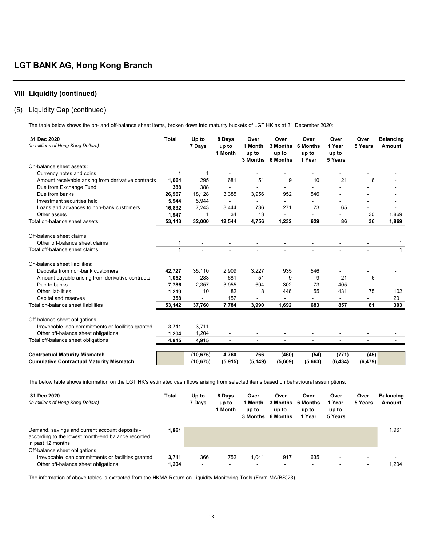### (5) Liquidity Gap (continued)

The table below shows the on- and off-balance sheet items, broken down into maturity buckets of LGT HK as at 31 December 2020:

| 31 Dec 2020<br>(in millions of Hong Kong Dollars)   | <b>Total</b> | Up to<br>7 Days | 8 Days<br>up to<br>1 Month | Over<br>1 Month<br>up to | Over<br>3 Months<br>up to<br>3 Months 6 Months | Over<br>6 Months<br>up to<br>1 Year | Over<br>1 Year<br>up to<br>5 Years | Over<br>5 Years | <b>Balancing</b><br>Amount |
|-----------------------------------------------------|--------------|-----------------|----------------------------|--------------------------|------------------------------------------------|-------------------------------------|------------------------------------|-----------------|----------------------------|
| On-balance sheet assets:                            |              |                 |                            |                          |                                                |                                     |                                    |                 |                            |
| Currency notes and coins                            | 1            | -1              |                            |                          |                                                |                                     |                                    |                 |                            |
| Amount receivable arising from derivative contracts | 1,064        | 295             | 681                        | 51                       | 9                                              | 10                                  | 21                                 | 6               |                            |
| Due from Exchange Fund                              | 388          | 388             |                            |                          |                                                |                                     |                                    |                 |                            |
| Due from banks                                      | 26,967       | 18,128          | 3,385                      | 3,956                    | 952                                            | 546                                 |                                    |                 |                            |
| Investment securities held                          | 5,944        | 5,944           |                            |                          | $\overline{\phantom{0}}$                       |                                     |                                    |                 |                            |
| Loans and advances to non-bank customers            | 16,832       | 7,243           | 8,444                      | 736                      | 271                                            | 73                                  | 65                                 |                 |                            |
| Other assets                                        | 1,947        |                 | 34                         | 13                       |                                                |                                     |                                    | 30              | 1,869                      |
| Total on-balance sheet assets                       | 53,143       | 32,000          | 12,544                     | 4,756                    | 1,232                                          | 629                                 | 86                                 | 36              | 1,869                      |
| Off-balance sheet claims:                           |              |                 |                            |                          |                                                |                                     |                                    |                 |                            |
| Other off-balance sheet claims                      | 1            |                 |                            |                          |                                                |                                     |                                    |                 |                            |
| Total off-balance sheet claims                      | 1            | $\blacksquare$  | $\blacksquare$             | $\blacksquare$           | $\blacksquare$                                 | $\blacksquare$                      |                                    | $\blacksquare$  | $\mathbf{1}$               |
| On-balance sheet liabilities:                       |              |                 |                            |                          |                                                |                                     |                                    |                 |                            |
| Deposits from non-bank customers                    | 42,727       | 35,110          | 2,909                      | 3,227                    | 935                                            | 546                                 |                                    |                 |                            |
| Amount payable arising from derivative contracts    | 1,052        | 283             | 681                        | 51                       | 9                                              | 9                                   | 21                                 | 6               |                            |
| Due to banks                                        | 7,786        | 2,357           | 3,955                      | 694                      | 302                                            | 73                                  | 405                                |                 |                            |
| Other liabilities                                   | 1,219        | 10              | 82                         | 18                       | 446                                            | 55                                  | 431                                | 75              | 102                        |
| Capital and reserves                                | 358          |                 | 157                        |                          |                                                |                                     |                                    |                 | 201                        |
| Total on-balance sheet liabilities                  | 53,142       | 37,760          | 7,784                      | 3,990                    | 1,692                                          | 683                                 | 857                                | 81              | 303                        |
| Off-balance sheet obligations:                      |              |                 |                            |                          |                                                |                                     |                                    |                 |                            |
| Irrevocable loan commitments or facilities granted  | 3,711        | 3,711           |                            |                          |                                                |                                     |                                    |                 |                            |
| Other off-balance sheet obligations                 | 1,204        | 1,204           |                            |                          |                                                |                                     |                                    |                 |                            |
| Total off-balance sheet obligations                 | 4,915        | 4,915           | $\blacksquare$             |                          |                                                |                                     |                                    |                 |                            |
|                                                     |              |                 |                            |                          |                                                |                                     |                                    |                 |                            |
| <b>Contractual Maturity Mismatch</b>                |              | (10, 675)       | 4,760                      | 766                      | (460)                                          | (54)                                | (771)                              | (45)            |                            |
| <b>Cumulative Contractual Maturity Mismatch</b>     |              | (10, 675)       | (5, 915)                   | (5, 149)                 | (5,609)                                        | (5,663)                             | (6, 434)                           | (6, 479)        |                            |

The below table shows information on the LGT HK's estimated cash flows arising from selected items based on behavioural assumptions:

| 31 Dec 2020<br>(in millions of Hong Kong Dollars)                                                                           | Total          | Up to<br>7 Days       | 8 Days<br>up to<br>1 Month | Over<br>1 Month<br>up to<br>3 Months | Over<br>up to<br>6 Months | Over<br>3 Months 6 Months<br>up to<br>1 Year | Over<br>1 Year<br>up to<br>5 Years | Over<br>5 Years                    | <b>Balancing</b><br>Amount |
|-----------------------------------------------------------------------------------------------------------------------------|----------------|-----------------------|----------------------------|--------------------------------------|---------------------------|----------------------------------------------|------------------------------------|------------------------------------|----------------------------|
| Demand, savings and current account deposits -<br>according to the lowest month-end balance recorded<br>in past 12 months   | 1.961          |                       |                            |                                      |                           |                                              |                                    |                                    | 1.961                      |
| Off-balance sheet obligations:<br>Irrevocable Ioan commitments or facilities granted<br>Other off-balance sheet obligations | 3.711<br>1,204 | 366<br>$\blacksquare$ | 752<br>-                   | 1.041<br>$\overline{\phantom{0}}$    | 917<br>-                  | 635<br>$\blacksquare$                        | ۰                                  | $\overline{\phantom{a}}$<br>$\sim$ | 1.204                      |

The information of above tables is extracted from the HKMA Return on Liquidity Monitoring Tools (Form MA(BS)23)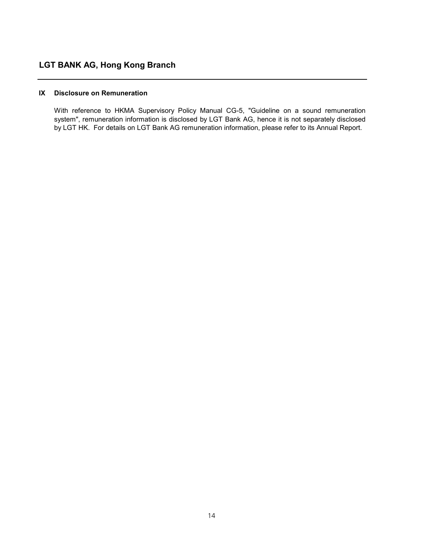## IX Disclosure on Remuneration

With reference to HKMA Supervisory Policy Manual CG-5, "Guideline on a sound remuneration system", remuneration information is disclosed by LGT Bank AG, hence it is not separately disclosed by LGT HK. For details on LGT Bank AG remuneration information, please refer to its Annual Report.